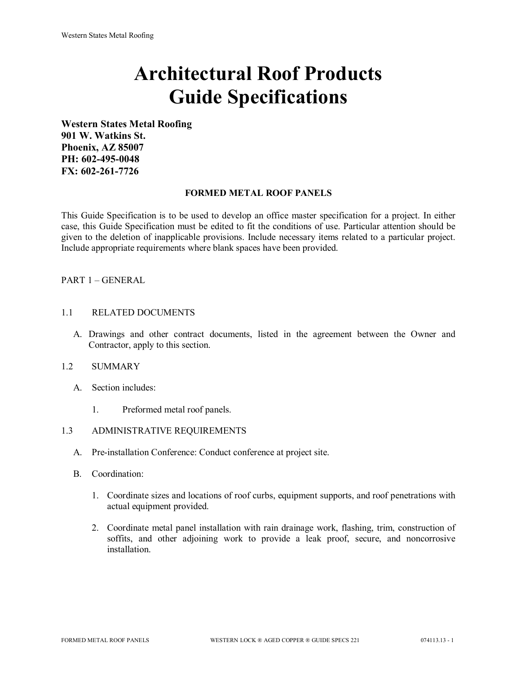# **Architectural Roof Products Guide Specifications**

**Western States Metal Roofing 901 W. Watkins St. Phoenix, AZ 85007 PH: 602-495-0048 FX: 602-261-7726**

# **FORMED METAL ROOF PANELS**

This Guide Specification is to be used to develop an office master specification for a project. In either case, this Guide Specification must be edited to fit the conditions of use. Particular attention should be given to the deletion of inapplicable provisions. Include necessary items related to a particular project. Include appropriate requirements where blank spaces have been provided.

# PART 1 – GENERAL

#### 1.1 RELATED DOCUMENTS

A. Drawings and other contract documents, listed in the agreement between the Owner and Contractor, apply to this section.

#### 1.2 SUMMARY

- A. Section includes:
	- 1. Preformed metal roof panels.

# 1.3 ADMINISTRATIVE REQUIREMENTS

- A. Pre-installation Conference: Conduct conference at project site.
- B. Coordination:
	- 1. Coordinate sizes and locations of roof curbs, equipment supports, and roof penetrations with actual equipment provided.
	- 2. Coordinate metal panel installation with rain drainage work, flashing, trim, construction of soffits, and other adjoining work to provide a leak proof, secure, and noncorrosive installation.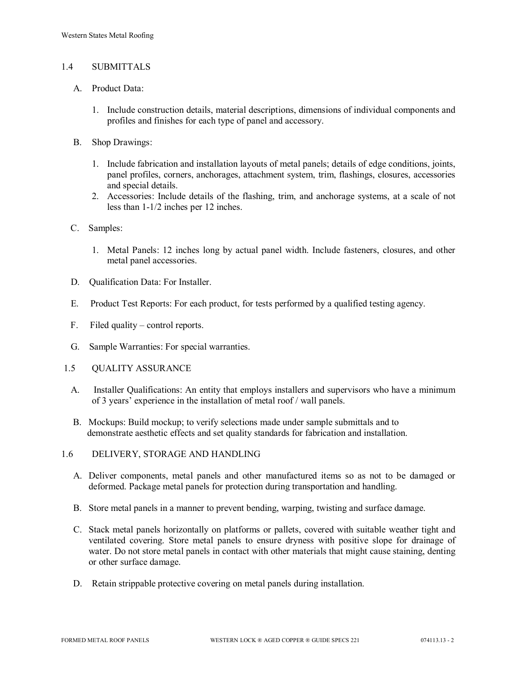#### 1.4 SUBMITTALS

- A. Product Data:
	- 1. Include construction details, material descriptions, dimensions of individual components and profiles and finishes for each type of panel and accessory.
- B. Shop Drawings:
	- 1. Include fabrication and installation layouts of metal panels; details of edge conditions, joints, panel profiles, corners, anchorages, attachment system, trim, flashings, closures, accessories and special details.
	- 2. Accessories: Include details of the flashing, trim, and anchorage systems, at a scale of not less than 1-1/2 inches per 12 inches.
- C. Samples:
	- 1. Metal Panels: 12 inches long by actual panel width. Include fasteners, closures, and other metal panel accessories.
- D. Qualification Data: For Installer.
- E. Product Test Reports: For each product, for tests performed by a qualified testing agency.
- F. Filed quality control reports.
- G. Sample Warranties: For special warranties.
- 1.5 QUALITY ASSURANCE
	- A. Installer Qualifications: An entity that employs installers and supervisors who have a minimum of 3 years' experience in the installation of metal roof / wall panels.
	- B. Mockups: Build mockup; to verify selections made under sample submittals and to demonstrate aesthetic effects and set quality standards for fabrication and installation.
- 1.6 DELIVERY, STORAGE AND HANDLING
	- A. Deliver components, metal panels and other manufactured items so as not to be damaged or deformed. Package metal panels for protection during transportation and handling.
	- B. Store metal panels in a manner to prevent bending, warping, twisting and surface damage.
	- C. Stack metal panels horizontally on platforms or pallets, covered with suitable weather tight and ventilated covering. Store metal panels to ensure dryness with positive slope for drainage of water. Do not store metal panels in contact with other materials that might cause staining, denting or other surface damage.
	- D. Retain strippable protective covering on metal panels during installation.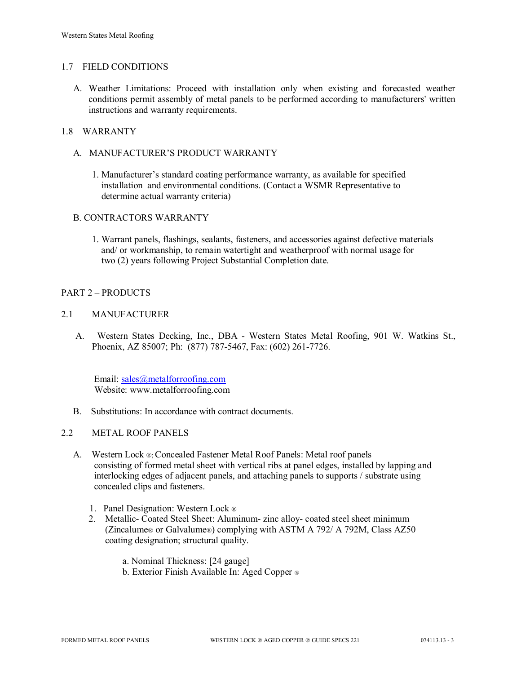#### 1.7 FIELD CONDITIONS

A. Weather Limitations: Proceed with installation only when existing and forecasted weather conditions permit assembly of metal panels to be performed according to manufacturers' written instructions and warranty requirements.

# 1.8 WARRANTY

- A. MANUFACTURER'S PRODUCT WARRANTY
	- 1. Manufacturer's standard coating performance warranty, as available for specified installation and environmental conditions. (Contact a WSMR Representative to determine actual warranty criteria)

#### B. CONTRACTORS WARRANTY

1. Warrant panels, flashings, sealants, fasteners, and accessories against defective materials and/ or workmanship, to remain watertight and weatherproof with normal usage for two (2) years following Project Substantial Completion date.

#### PART 2 – PRODUCTS

#### 2.1 MANUFACTURER

 A. Western States Decking, Inc., DBA - Western States Metal Roofing, 901 W. Watkins St., Phoenix, AZ 85007; Ph: (877) 787-5467, Fax: (602) 261-7726.

 Email: [sales@metalforroofing.com](mailto:sales@metalforroofing.com) Website: www.metalforroofing.com

- B. Substitutions: In accordance with contract documents.
- 2.2 METAL ROOF PANELS
	- A. Western Lock ®; Concealed Fastener Metal Roof Panels: Metal roof panels consisting of formed metal sheet with vertical ribs at panel edges, installed by lapping and interlocking edges of adjacent panels, and attaching panels to supports / substrate using concealed clips and fasteners.
		- 1. Panel Designation: Western Lock ®
		- 2. Metallic- Coated Steel Sheet: Aluminum- zinc alloy- coated steel sheet minimum (Zincalume® or Galvalume®) complying with ASTM A 792/ A 792M, Class AZ50 coating designation; structural quality.
			- a. Nominal Thickness: [24 gauge]
			- b. Exterior Finish Available In: Aged Copper ®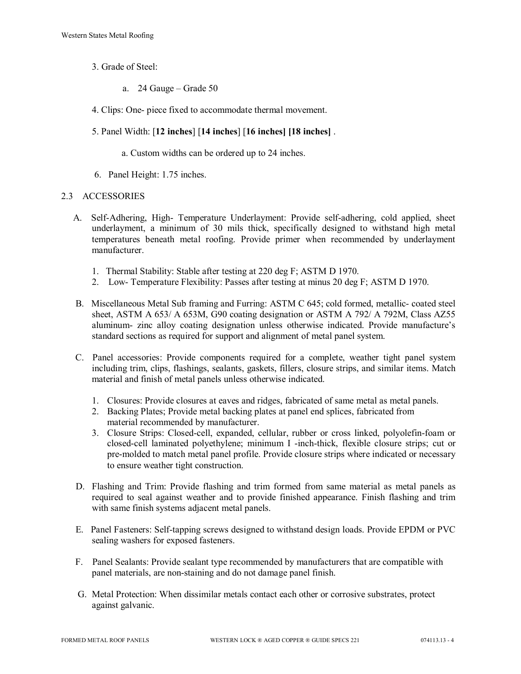- 3. Grade of Steel:
	- a. 24 Gauge Grade 50
- 4. Clips: One- piece fixed to accommodate thermal movement.
- 5. Panel Width: [**12 inches**] [**14 inches**] [**16 inches] [18 inches]** .
	- a. Custom widths can be ordered up to 24 inches.
- 6. Panel Height: 1.75 inches.

#### 2.3 ACCESSORIES

- A. Self-Adhering, High- Temperature Underlayment: Provide self-adhering, cold applied, sheet underlayment, a minimum of 30 mils thick, specifically designed to withstand high metal temperatures beneath metal roofing. Provide primer when recommended by underlayment manufacturer.
	- 1. Thermal Stability: Stable after testing at 220 deg F; ASTM D 1970.
	- 2. Low- Temperature Flexibility: Passes after testing at minus 20 deg F; ASTM D 1970.
- B. Miscellaneous Metal Sub framing and Furring: ASTM C 645; cold formed, metallic- coated steel sheet, ASTM A 653/ A 653M, G90 coating designation or ASTM A 792/ A 792M, Class AZ55 aluminum- zinc alloy coating designation unless otherwise indicated. Provide manufacture's standard sections as required for support and alignment of metal panel system.
- C. Panel accessories: Provide components required for a complete, weather tight panel system including trim, clips, flashings, sealants, gaskets, fillers, closure strips, and similar items. Match material and finish of metal panels unless otherwise indicated.
	- 1. Closures: Provide closures at eaves and ridges, fabricated of same metal as metal panels.
	- 2. Backing Plates; Provide metal backing plates at panel end splices, fabricated from material recommended by manufacturer.
	- 3. Closure Strips: Closed-cell, expanded, cellular, rubber or cross linked, polyolefin-foam or closed-cell laminated polyethylene; minimum I -inch-thick, flexible closure strips; cut or pre-molded to match metal panel profile. Provide closure strips where indicated or necessary to ensure weather tight construction.
- D. Flashing and Trim: Provide flashing and trim formed from same material as metal panels as required to seal against weather and to provide finished appearance. Finish flashing and trim with same finish systems adjacent metal panels.
- E. Panel Fasteners: Self-tapping screws designed to withstand design loads. Provide EPDM or PVC sealing washers for exposed fasteners.
- F. Panel Sealants: Provide sealant type recommended by manufacturers that are compatible with panel materials, are non-staining and do not damage panel finish.
- G. Metal Protection: When dissimilar metals contact each other or corrosive substrates, protect against galvanic.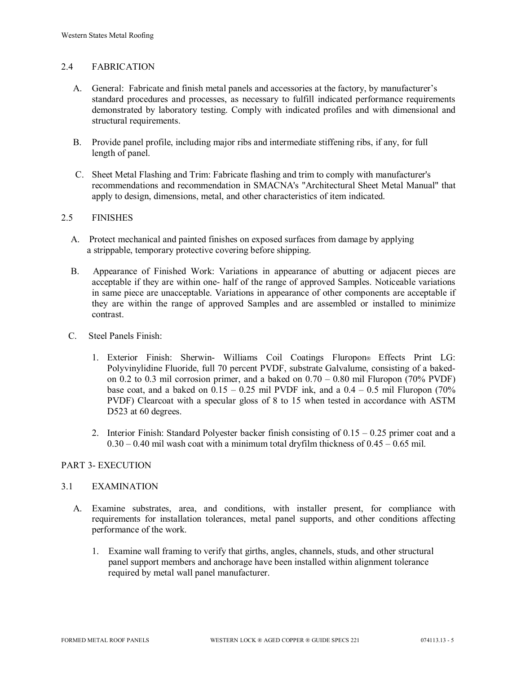# 2.4 FABRICATION

- A. General: Fabricate and finish metal panels and accessories at the factory, by manufacturer's standard procedures and processes, as necessary to fulfill indicated performance requirements demonstrated by laboratory testing. Comply with indicated profiles and with dimensional and structural requirements.
- B. Provide panel profile, including major ribs and intermediate stiffening ribs, if any, for full length of panel.
- C. Sheet Metal Flashing and Trim: Fabricate flashing and trim to comply with manufacturer's recommendations and recommendation in SMACNA's "Architectural Sheet Metal Manual" that apply to design, dimensions, metal, and other characteristics of item indicated.

#### 2.5 FINISHES

- A. Protect mechanical and painted finishes on exposed surfaces from damage by applying a strippable, temporary protective covering before shipping.
- B. Appearance of Finished Work: Variations in appearance of abutting or adjacent pieces are acceptable if they are within one- half of the range of approved Samples. Noticeable variations in same piece are unacceptable. Variations in appearance of other components are acceptable if they are within the range of approved Samples and are assembled or installed to minimize contrast.
- C. Steel Panels Finish:
	- 1. Exterior Finish: Sherwin- Williams Coil Coatings Fluropon® Effects Print LG: Polyvinylidine Fluoride, full 70 percent PVDF, substrate Galvalume, consisting of a bakedon 0.2 to 0.3 mil corrosion primer, and a baked on  $0.70 - 0.80$  mil Fluropon (70% PVDF) base coat, and a baked on  $0.15 - 0.25$  mil PVDF ink, and a  $0.4 - 0.5$  mil Fluropon (70%) PVDF) Clearcoat with a specular gloss of 8 to 15 when tested in accordance with ASTM D523 at 60 degrees.
	- 2. Interior Finish: Standard Polyester backer finish consisting of  $0.15 0.25$  primer coat and a  $0.30 - 0.40$  mil wash coat with a minimum total dryfilm thickness of  $0.45 - 0.65$  mil.

# PART 3- EXECUTION

#### 3.1 EXAMINATION

- A. Examine substrates, area, and conditions, with installer present, for compliance with requirements for installation tolerances, metal panel supports, and other conditions affecting performance of the work.
	- 1. Examine wall framing to verify that girths, angles, channels, studs, and other structural panel support members and anchorage have been installed within alignment tolerance required by metal wall panel manufacturer.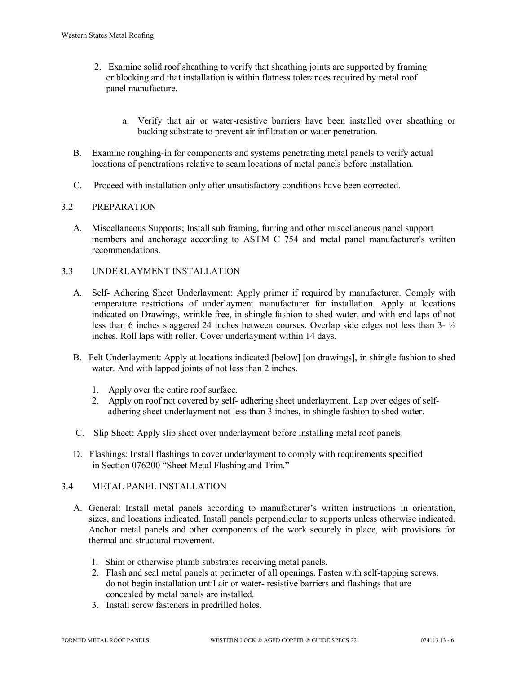- 2. Examine solid roof sheathing to verify that sheathing joints are supported by framing or blocking and that installation is within flatness tolerances required by metal roof panel manufacture.
	- a. Verify that air or water-resistive barriers have been installed over sheathing or backing substrate to prevent air infiltration or water penetration.
- B. Examine roughing-in for components and systems penetrating metal panels to verify actual locations of penetrations relative to seam locations of metal panels before installation.
- C. Proceed with installation only after unsatisfactory conditions have been corrected.

# 3.2 PREPARATION

- A. Miscellaneous Supports; Install sub framing, furring and other miscellaneous panel support members and anchorage according to ASTM C 754 and metal panel manufacturer's written recommendations.
- 3.3 UNDERLAYMENT INSTALLATION
	- A. Self- Adhering Sheet Underlayment: Apply primer if required by manufacturer. Comply with temperature restrictions of underlayment manufacturer for installation. Apply at locations indicated on Drawings, wrinkle free, in shingle fashion to shed water, and with end laps of not less than 6 inches staggered 24 inches between courses. Overlap side edges not less than 3- ½ inches. Roll laps with roller. Cover underlayment within 14 days.
	- B. Felt Underlayment: Apply at locations indicated [below] [on drawings], in shingle fashion to shed water. And with lapped joints of not less than 2 inches.
		- 1. Apply over the entire roof surface.
		- 2. Apply on roof not covered by self- adhering sheet underlayment. Lap over edges of self adhering sheet underlayment not less than 3 inches, in shingle fashion to shed water.
	- C. Slip Sheet: Apply slip sheet over underlayment before installing metal roof panels.
	- D. Flashings: Install flashings to cover underlayment to comply with requirements specified in Section 076200 "Sheet Metal Flashing and Trim."

# 3.4 METAL PANEL INSTALLATION

- A. General: Install metal panels according to manufacturer's written instructions in orientation, sizes, and locations indicated. Install panels perpendicular to supports unless otherwise indicated. Anchor metal panels and other components of the work securely in place, with provisions for thermal and structural movement.
	- 1. Shim or otherwise plumb substrates receiving metal panels.
	- 2. Flash and seal metal panels at perimeter of all openings. Fasten with self-tapping screws. do not begin installation until air or water- resistive barriers and flashings that are concealed by metal panels are installed.
	- 3. Install screw fasteners in predrilled holes.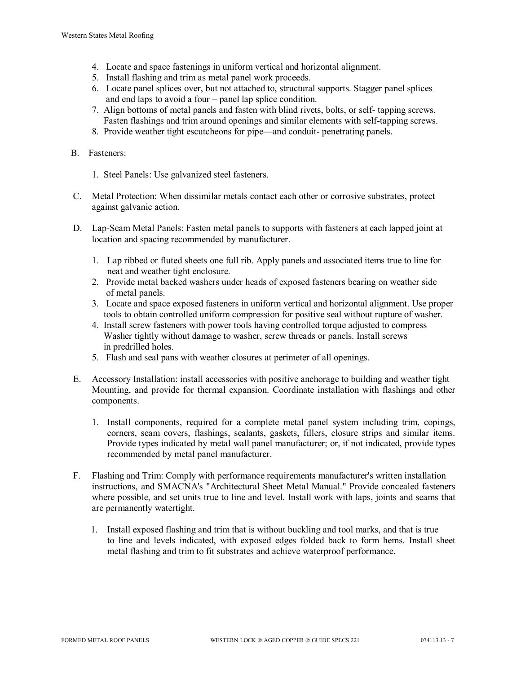- 4. Locate and space fastenings in uniform vertical and horizontal alignment.
- 5. Install flashing and trim as metal panel work proceeds.
- 6. Locate panel splices over, but not attached to, structural supports. Stagger panel splices and end laps to avoid a four – panel lap splice condition.
- 7. Align bottoms of metal panels and fasten with blind rivets, bolts, or self- tapping screws. Fasten flashings and trim around openings and similar elements with self-tapping screws.
- 8. Provide weather tight escutcheons for pipe—and conduit- penetrating panels.

#### B. Fasteners:

- 1. Steel Panels: Use galvanized steel fasteners.
- C. Metal Protection: When dissimilar metals contact each other or corrosive substrates, protect against galvanic action.
- D. Lap-Seam Metal Panels: Fasten metal panels to supports with fasteners at each lapped joint at location and spacing recommended by manufacturer.
	- 1. Lap ribbed or fluted sheets one full rib. Apply panels and associated items true to line for neat and weather tight enclosure.
	- 2. Provide metal backed washers under heads of exposed fasteners bearing on weather side of metal panels.
	- 3. Locate and space exposed fasteners in uniform vertical and horizontal alignment. Use proper tools to obtain controlled uniform compression for positive seal without rupture of washer.
	- 4. Install screw fasteners with power tools having controlled torque adjusted to compress Washer tightly without damage to washer, screw threads or panels. Install screws in predrilled holes.
	- 5. Flash and seal pans with weather closures at perimeter of all openings.
- E. Accessory Installation: install accessories with positive anchorage to building and weather tight Mounting, and provide for thermal expansion. Coordinate installation with flashings and other components.
	- 1. Install components, required for a complete metal panel system including trim, copings, corners, seam covers, flashings, sealants, gaskets, fillers, closure strips and similar items. Provide types indicated by metal wall panel manufacturer; or, if not indicated, provide types recommended by metal panel manufacturer.
- F. Flashing and Trim: Comply with performance requirements manufacturer's written installation instructions, and SMACNA's "Architectural Sheet Metal Manual." Provide concealed fasteners where possible, and set units true to line and level. Install work with laps, joints and seams that are permanently watertight.
	- 1. Install exposed flashing and trim that is without buckling and tool marks, and that is true to line and levels indicated, with exposed edges folded back to form hems. Install sheet metal flashing and trim to fit substrates and achieve waterproof performance.